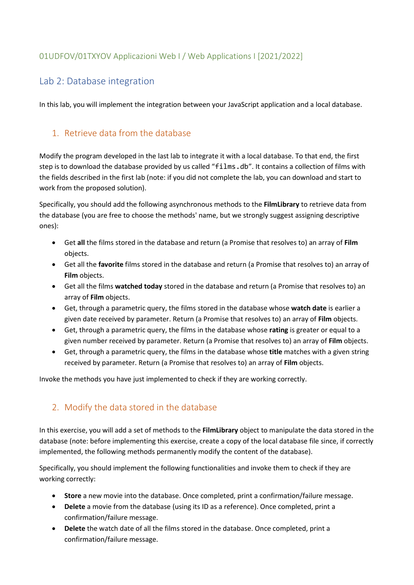#### 01UDFOV/01TXYOV Applicazioni Web I / Web Applications I [2021/2022]

# Lab 2: Database integration

In this lab, you will implement the integration between your JavaScript application and a local database.

### 1. Retrieve data from the database

Modify the program developed in the last lab to integrate it with a local database. To that end, the first step is to download the database provided by us called "films.db". It contains a collection of films with the fields described in the first lab (note: if you did not complete the lab, you can download and start to work from the proposed solution).

Specifically, you should add the following asynchronous methods to the **FilmLibrary** to retrieve data from the database (you are free to choose the methods' name, but we strongly suggest assigning descriptive ones):

- Get **all** the films stored in the database and return (a Promise that resolves to) an array of **Film** objects.
- Get all the **favorite** films stored in the database and return (a Promise that resolves to) an array of **Film** objects.
- Get all the films **watched today** stored in the database and return (a Promise that resolves to) an array of **Film** objects.
- Get, through a parametric query, the films stored in the database whose **watch date** is earlier a given date received by parameter. Return (a Promise that resolves to) an array of **Film** objects.
- Get, through a parametric query, the films in the database whose **rating** is greater or equal to a given number received by parameter. Return (a Promise that resolves to) an array of **Film** objects.
- Get, through a parametric query, the films in the database whose **title** matches with a given string received by parameter. Return (a Promise that resolves to) an array of **Film** objects.

Invoke the methods you have just implemented to check if they are working correctly.

## 2. Modify the data stored in the database

In this exercise, you will add a set of methods to the **FilmLibrary** object to manipulate the data stored in the database (note: before implementing this exercise, create a copy of the local database file since, if correctly implemented, the following methods permanently modify the content of the database).

Specifically, you should implement the following functionalities and invoke them to check if they are working correctly:

- **Store** a new movie into the database. Once completed, print a confirmation/failure message.
- **Delete** a movie from the database (using its ID as a reference). Once completed, print a confirmation/failure message.
- **Delete** the watch date of all the films stored in the database. Once completed, print a confirmation/failure message.